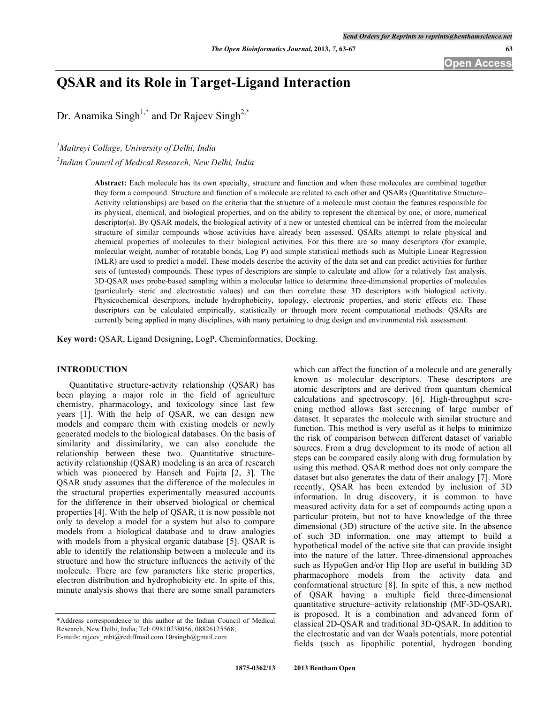**Open Access**

# **QSAR and its Role in Target-Ligand Interaction**

Dr. Anamika Singh<sup>1,\*</sup> and Dr Rajeev Singh<sup>2,\*</sup>

*1 Maitreyi Collage, University of Delhi, India*

*2 Indian Council of Medical Research, New Delhi, India*

**Abstract:** Each molecule has its own specialty, structure and function and when these molecules are combined together they form a compound. Structure and function of a molecule are related to each other and QSARs (Quantitative Structure– Activity relationships) are based on the criteria that the structure of a molecule must contain the features responsible for its physical, chemical, and biological properties, and on the ability to represent the chemical by one, or more, numerical descriptor(s). By QSAR models, the biological activity of a new or untested chemical can be inferred from the molecular structure of similar compounds whose activities have already been assessed. QSARs attempt to relate physical and chemical properties of molecules to their biological activities. For this there are so many descriptors (for example, molecular weight, number of rotatable bonds, Log P) and simple statistical methods such as Multiple Linear Regression (MLR) are used to predict a model. These models describe the activity of the data set and can predict activities for further sets of (untested) compounds. These types of descriptors are simple to calculate and allow for a relatively fast analysis. 3D-QSAR uses probe-based sampling within a molecular lattice to determine three-dimensional properties of molecules (particularly steric and electrostatic values) and can then correlate these 3D descriptors with biological activity. Physicochemical descriptors, include hydrophobicity, topology, electronic properties, and steric effects etc. These descriptors can be calculated empirically, statistically or through more recent computational methods. QSARs are currently being applied in many disciplines, with many pertaining to drug design and environmental risk assessment.

**Key word:** QSAR, Ligand Designing, LogP, Cheminformatics, Docking.

# **INTRODUCTION**

Quantitative structure-activity relationship (QSAR) has been playing a major role in the field of agriculture chemistry, pharmacology, and toxicology since last few years [1]. With the help of QSAR, we can design new models and compare them with existing models or newly generated models to the biological databases. On the basis of similarity and dissimilarity, we can also conclude the relationship between these two. Quantitative structureactivity relationship (QSAR) modeling is an area of research which was pioneered by Hansch and Fujita [2, 3]. The QSAR study assumes that the difference of the molecules in the structural properties experimentally measured accounts for the difference in their observed biological or chemical properties [4]. With the help of QSAR, it is now possible not only to develop a model for a system but also to compare models from a biological database and to draw analogies with models from a physical organic database [5]. QSAR is able to identify the relationship between a molecule and its structure and how the structure influences the activity of the molecule. There are few parameters like steric properties, electron distribution and hydrophobicity etc. In spite of this, minute analysis shows that there are some small parameters

which can affect the function of a molecule and are generally known as molecular descriptors. These descriptors are atomic descriptors and are derived from quantum chemical calculations and spectroscopy. [6]. High-throughput screening method allows fast screening of large number of dataset. It separates the molecule with similar structure and function. This method is very useful as it helps to minimize the risk of comparison between different dataset of variable sources. From a drug development to its mode of action all steps can be compared easily along with drug formulation by using this method. QSAR method does not only compare the dataset but also generates the data of their analogy [7]. More recently, QSAR has been extended by inclusion of 3D information. In drug discovery, it is common to have measured activity data for a set of compounds acting upon a particular protein, but not to have knowledge of the three dimensional (3D) structure of the active site. In the absence of such 3D information, one may attempt to build a hypothetical model of the active site that can provide insight into the nature of the latter. Three-dimensional approaches such as HypoGen and/or Hip Hop are useful in building 3D pharmacophore models from the activity data and conformational structure [8]. In spite of this, a new method of QSAR having a multiple field three-dimensional quantitative structure–activity relationship (MF-3D-QSAR), is proposed. It is a combination and advanced form of classical 2D-QSAR and traditional 3D-QSAR. In addition to the electrostatic and van der Waals potentials, more potential fields (such as lipophilic potential, hydrogen bonding

<sup>\*</sup>Address correspondence to this author at the Indian Council of Medical Research, New Delhi, India; Tel: 09810238056, 08826125568; E-mails: rajeev\_mbt@rediffmail.com 10rsingh@gmail.com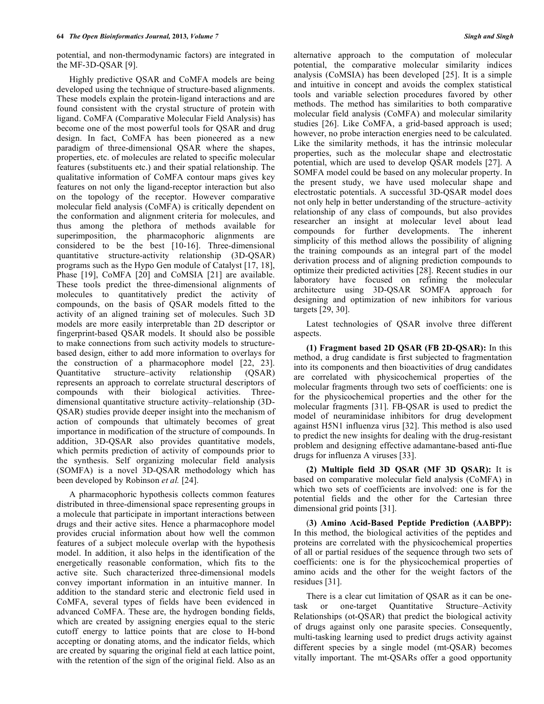potential, and non-thermodynamic factors) are integrated in the MF-3D-QSAR [9].

Highly predictive QSAR and CoMFA models are being developed using the technique of structure-based alignments. These models explain the protein-ligand interactions and are found consistent with the crystal structure of protein with ligand. CoMFA (Comparative Molecular Field Analysis) has become one of the most powerful tools for QSAR and drug design. In fact, CoMFA has been pioneered as a new paradigm of three-dimensional QSAR where the shapes, properties, etc. of molecules are related to specific molecular features (substituents etc.) and their spatial relationship. The qualitative information of CoMFA contour maps gives key features on not only the ligand-receptor interaction but also on the topology of the receptor. However comparative molecular field analysis (CoMFA) is critically dependent on the conformation and alignment criteria for molecules, and thus among the plethora of methods available for superimposition, the pharmacophoric alignments are considered to be the best [10-16]. Three-dimensional quantitative structure-activity relationship (3D-QSAR) programs such as the Hypo Gen module of Catalyst [17, 18], Phase [19], CoMFA [20] and CoMSIA [21] are available. These tools predict the three-dimensional alignments of molecules to quantitatively predict the activity of compounds, on the basis of QSAR models fitted to the activity of an aligned training set of molecules. Such 3D models are more easily interpretable than 2D descriptor or fingerprint-based QSAR models. It should also be possible to make connections from such activity models to structurebased design, either to add more information to overlays for the construction of a pharmacophore model [22, 23]. Quantitative structure–activity relationship (QSAR) represents an approach to correlate structural descriptors of compounds with their biological activities. Threedimensional quantitative structure activity–relationship (3D-QSAR) studies provide deeper insight into the mechanism of action of compounds that ultimately becomes of great importance in modification of the structure of compounds. In addition, 3D-QSAR also provides quantitative models, which permits prediction of activity of compounds prior to the synthesis. Self organizing molecular field analysis (SOMFA) is a novel 3D-QSAR methodology which has been developed by Robinson *et al.* [24].

A pharmacophoric hypothesis collects common features distributed in three-dimensional space representing groups in a molecule that participate in important interactions between drugs and their active sites. Hence a pharmacophore model provides crucial information about how well the common features of a subject molecule overlap with the hypothesis model. In addition, it also helps in the identification of the energetically reasonable conformation, which fits to the active site. Such characterized three-dimensional models convey important information in an intuitive manner. In addition to the standard steric and electronic field used in CoMFA, several types of fields have been evidenced in advanced CoMFA. These are, the hydrogen bonding fields, which are created by assigning energies equal to the steric cutoff energy to lattice points that are close to H-bond accepting or donating atoms, and the indicator fields, which are created by squaring the original field at each lattice point, with the retention of the sign of the original field. Also as an

alternative approach to the computation of molecular potential, the comparative molecular similarity indices analysis (CoMSIA) has been developed [25]. It is a simple and intuitive in concept and avoids the complex statistical tools and variable selection procedures favored by other methods. The method has similarities to both comparative molecular field analysis (CoMFA) and molecular similarity studies [26]. Like CoMFA, a grid-based approach is used; however, no probe interaction energies need to be calculated. Like the similarity methods, it has the intrinsic molecular properties, such as the molecular shape and electrostatic potential, which are used to develop QSAR models [27]. A SOMFA model could be based on any molecular property. In the present study, we have used molecular shape and electrostatic potentials. A successful 3D-QSAR model does not only help in better understanding of the structure–activity relationship of any class of compounds, but also provides researcher an insight at molecular level about lead compounds for further developments. The inherent simplicity of this method allows the possibility of aligning the training compounds as an integral part of the model derivation process and of aligning prediction compounds to optimize their predicted activities [28]. Recent studies in our laboratory have focused on refining the molecular architecture using 3D-QSAR SOMFA approach for designing and optimization of new inhibitors for various targets [29, 30].

Latest technologies of QSAR involve three different aspects.

**(1) Fragment based 2D QSAR (FB 2D-QSAR):** In this method, a drug candidate is first subjected to fragmentation into its components and then bioactivities of drug candidates are correlated with physicochemical properties of the molecular fragments through two sets of coefficients: one is for the physicochemical properties and the other for the molecular fragments [31]. FB-QSAR is used to predict the model of neuraminidase inhibitors for drug development against H5N1 influenza virus [32]. This method is also used to predict the new insights for dealing with the drug-resistant problem and designing effective adamantane-based anti-flue drugs for influenza A viruses [33].

**(2) Multiple field 3D QSAR (MF 3D QSAR):** It is based on comparative molecular field analysis (CoMFA) in which two sets of coefficients are involved: one is for the potential fields and the other for the Cartesian three dimensional grid points [31].

(**3) Amino Acid-Based Peptide Prediction (AABPP):** In this method, the biological activities of the peptides and proteins are correlated with the physicochemical properties of all or partial residues of the sequence through two sets of coefficients: one is for the physicochemical properties of amino acids and the other for the weight factors of the residues [31].

There is a clear cut limitation of QSAR as it can be onetask or one-target Quantitative Structure–Activity Relationships (ot-QSAR) that predict the biological activity of drugs against only one parasite species. Consequently, multi-tasking learning used to predict drugs activity against different species by a single model (mt-QSAR) becomes vitally important. The mt-QSARs offer a good opportunity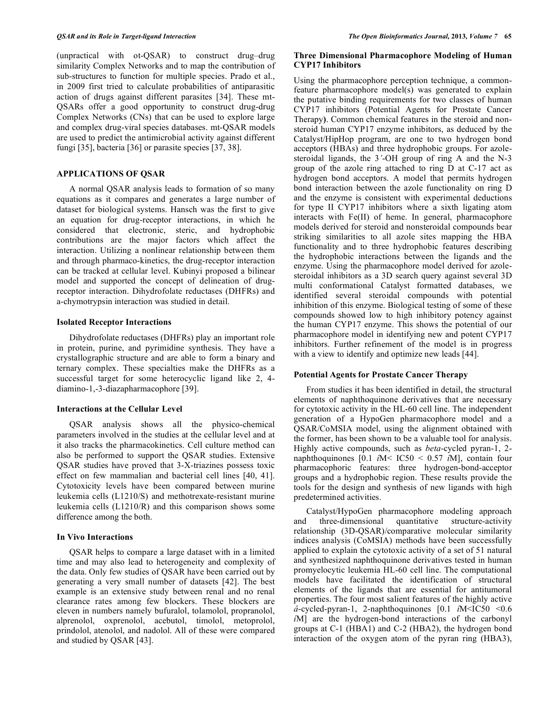(unpractical with ot-QSAR) to construct drug–drug similarity Complex Networks and to map the contribution of sub-structures to function for multiple species. Prado et al., in 2009 first tried to calculate probabilities of antiparasitic action of drugs against different parasites [34]. These mt-QSARs offer a good opportunity to construct drug-drug Complex Networks (CNs) that can be used to explore large and complex drug-viral species databases. mt-QSAR models are used to predict the antimicrobial activity against different fungi [35], bacteria [36] or parasite species [37, 38].

# **APPLICATIONS OF QSAR**

A normal QSAR analysis leads to formation of so many equations as it compares and generates a large number of dataset for biological systems. Hansch was the first to give an equation for drug-receptor interactions, in which he considered that electronic, steric, and hydrophobic contributions are the major factors which affect the interaction. Utilizing a nonlinear relationship between them and through pharmaco-kinetics, the drug-receptor interaction can be tracked at cellular level. Kubinyi proposed a bilinear model and supported the concept of delineation of drugreceptor interaction. Dihydrofolate reductases (DHFRs) and a-chymotrypsin interaction was studied in detail.

# **Isolated Receptor Interactions**

Dihydrofolate reductases (DHFRs) play an important role in protein, purine, and pyrimidine synthesis. They have a crystallographic structure and are able to form a binary and ternary complex. These specialties make the DHFRs as a successful target for some heterocyclic ligand like 2, 4 diamino-1,-3-diazapharmacophore [39].

# **Interactions at the Cellular Level**

QSAR analysis shows all the physico-chemical parameters involved in the studies at the cellular level and at it also tracks the pharmacokinetics. Cell culture method can also be performed to support the QSAR studies. Extensive QSAR studies have proved that 3-X-triazines possess toxic effect on few mammalian and bacterial cell lines [40, 41]. Cytotoxicity levels have been compared between murine leukemia cells (L1210/S) and methotrexate-resistant murine leukemia cells (L1210/R) and this comparison shows some difference among the both.

# **In Vivo Interactions**

QSAR helps to compare a large dataset with in a limited time and may also lead to heterogeneity and complexity of the data. Only few studies of QSAR have been carried out by generating a very small number of datasets [42]. The best example is an extensive study between renal and no renal clearance rates among few blockers. These blockers are eleven in numbers namely bufuralol, tolamolol, propranolol, alprenolol, oxprenolol, acebutol, timolol, metoprolol, prindolol, atenolol, and nadolol. All of these were compared and studied by QSAR [43].

# **Three Dimensional Pharmacophore Modeling of Human CYP17 Inhibitors**

Using the pharmacophore perception technique, a commonfeature pharmacophore model(s) was generated to explain the putative binding requirements for two classes of human CYP17 inhibitors (Potential Agents for Prostate Cancer Therapy**)**. Common chemical features in the steroid and nonsteroid human CYP17 enzyme inhibitors, as deduced by the Catalyst/HipHop program, are one to two hydrogen bond acceptors (HBAs) and three hydrophobic groups. For azolesteroidal ligands, the 3*'*-OH group of ring A and the N-3 group of the azole ring attached to ring D at C-17 act as hydrogen bond acceptors. A model that permits hydrogen bond interaction between the azole functionality on ring D and the enzyme is consistent with experimental deductions for type II CYP17 inhibitors where a sixth ligating atom interacts with Fe(II) of heme. In general, pharmacophore models derived for steroid and nonsteroidal compounds bear striking similarities to all azole sites mapping the HBA functionality and to three hydrophobic features describing the hydrophobic interactions between the ligands and the enzyme. Using the pharmacophore model derived for azolesteroidal inhibitors as a 3D search query against several 3D multi conformational Catalyst formatted databases, we identified several steroidal compounds with potential inhibition of this enzyme. Biological testing of some of these compounds showed low to high inhibitory potency against the human CYP17 enzyme. This shows the potential of our pharmacophore model in identifying new and potent CYP17 inhibitors. Further refinement of the model is in progress with a view to identify and optimize new leads [44].

#### **Potential Agents for Prostate Cancer Therapy**

From studies it has been identified in detail, the structural elements of naphthoquinone derivatives that are necessary for cytotoxic activity in the HL-60 cell line. The independent generation of a HypoGen pharmacophore model and a QSAR/CoMSIA model, using the alignment obtained with the former, has been shown to be a valuable tool for analysis. Highly active compounds, such as *beta*-cycled pyran-1, 2 naphthoquinones [0.1 *í*M< IC50 < 0.57 *í*M], contain four pharmacophoric features: three hydrogen-bond-acceptor groups and a hydrophobic region. These results provide the tools for the design and synthesis of new ligands with high predetermined activities.

Catalyst/HypoGen pharmacophore modeling approach and three-dimensional quantitative structure-activity relationship (3D-QSAR)/comparative molecular similarity indices analysis (CoMSIA) methods have been successfully applied to explain the cytotoxic activity of a set of 51 natural and synthesized naphthoquinone derivatives tested in human promyelocytic leukemia HL-60 cell line. The computational models have facilitated the identification of structural elements of the ligands that are essential for antitumoral properties. The four most salient features of the highly active *â*-cycled-pyran-1, 2-naphthoquinones [0.1 *í*M<IC50 <0.6 *í*M] are the hydrogen-bond interactions of the carbonyl groups at C-1 (HBA1) and C-2 (HBA2), the hydrogen bond interaction of the oxygen atom of the pyran ring (HBA3),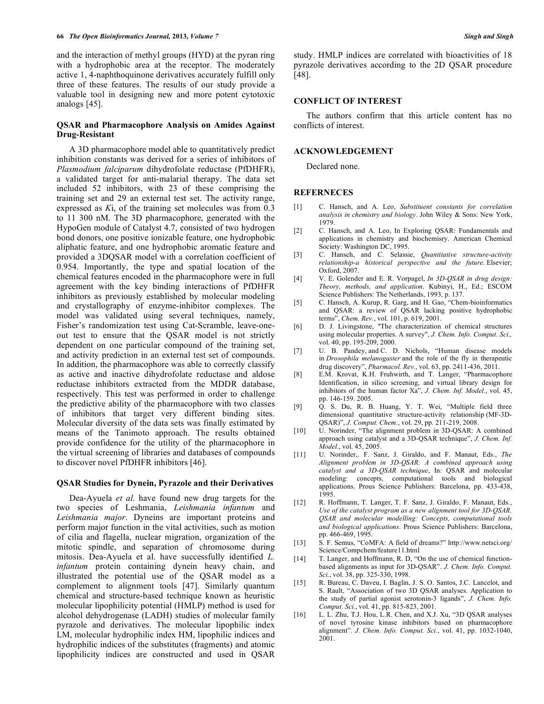and the interaction of methyl groups (HYD) at the pyran ring with a hydrophobic area at the receptor. The moderately active 1, 4-naphthoquinone derivatives accurately fulfill only three of these features. The results of our study provide a valuable tool in designing new and more potent cytotoxic analogs [45].

# **QSAR and Pharmacophore Analysis on Amides Against Drug-Resistant**

A 3D pharmacophore model able to quantitatively predict inhibition constants was derived for a series of inhibitors of *Plasmodium falciparum* dihydrofolate reductase (PfDHFR), a validated target for anti-malarial therapy. The data set included 52 inhibitors, with 23 of these comprising the training set and 29 an external test set. The activity range, expressed as *K*i, of the training set molecules was from 0.3 to 11 300 nM. The 3D pharmacophore, generated with the HypoGen module of Catalyst 4.7, consisted of two hydrogen bond donors, one positive ionizable feature, one hydrophobic aliphatic feature, and one hydrophobic aromatic feature and provided a 3DQSAR model with a correlation coefficient of 0.954. Importantly, the type and spatial location of the chemical features encoded in the pharmacophore were in full agreement with the key binding interactions of PfDHFR inhibitors as previously established by molecular modeling and crystallography of enzyme-inhibitor complexes. The model was validated using several techniques, namely, Fisher's randomization test using Cat-Scramble, leave-oneout test to ensure that the QSAR model is not strictly dependent on one particular compound of the training set, and activity prediction in an external test set of compounds. In addition, the pharmacophore was able to correctly classify as active and inactive dihydrofolate reductase and aldose reductase inhibitors extracted from the MDDR database, respectively. This test was performed in order to challenge the predictive ability of the pharmacophore with two classes of inhibitors that target very different binding sites. Molecular diversity of the data sets was finally estimated by means of the Tanimoto approach. The results obtained provide confidence for the utility of the pharmacophore in the virtual screening of libraries and databases of compounds to discover novel PfDHFR inhibitors [46].

#### **QSAR Studies for Dynein, Pyrazole and their Derivatives**

Dea-Ayuela *et al.* have found new drug targets for the two species of Leshmania, *Leishmania infantum* and *Leishmania major*. Dyneins are important proteins and perform major function in the vital activities, such as motion of cilia and flagella, nuclear migration, organization of the mitotic spindle, and separation of chromosome during mitosis. Dea-Ayuela et al. have successfully identified *L. infantum* protein containing dynein heavy chain, and illustrated the potential use of the QSAR model as a complement to alignment tools [47]. Similarly quantum chemical and structure-based technique known as heuristic molecular lipophilicity potential (HMLP) method is used for alcohol dehydrogenase (LADH) studies of molecular family pyrazole and derivatives. The molecular lipophilic index LM, molecular hydrophilic index HM, lipophilic indices and hydrophilic indices of the substitutes (fragments) and atomic lipophilicity indices are constructed and used in QSAR study. HMLP indices are correlated with bioactivities of 18 pyrazole derivatives according to the 2D QSAR procedure [48].

# **CONFLICT OF INTEREST**

The authors confirm that this article content has no conflicts of interest.

### **ACKNOWLEDGEMENT**

Declared none.

#### **REFERNECES**

- [1] C. Hansch, and A. Leo, *Substituent constants for correlation analysis in chemistry and biology*. John Wiley & Sons: New York, 1979.
- [2] C. Hansch, and A. Leo, In Exploring QSAR: Fundamentals and applications in chemistry and biochemisry. American Chemical Society: Washington DC, 1995.
- [3] C. Hansch, and C. Selassie, *Quantitative structure-activity relationship-a historical perspective and the future.* Elsevier; Oxford, 2007.
- [4] V. E. Golender and E. R. Vorpagel, *In 3D-QSAR in drug design: Theory, methods, and application*. Kubinyi, H., Ed.; ESCOM Science Publishers: The Netherlands, 1993, p. 137.
- [5] C. Hansch, A. Kurup, R. Garg, and H. Gao, "Chem-bioinformatics and QSAR: a review of QSAR lacking positive hydrophobic terms", *Chem. Rev.*, vol. 101, p. 619, 2001.
- [6] D. J. Livingstone, "The characterization of chemical structures using molecular properties. A survey", *J. Chem. Info. Comput. Sci.,* vol. 40, pp. 195-209, 2000.
- [7] U. B. Pandey, and C. D. Nichols, "Human disease models in *Drosophila melanogaster* and the role of the fly in therapeutic drug discovery", *Pharmacol. Rev.*, vol. 63, pp. 2411-436, 2011.
- [8] E.M. Krovat, K.H. Fruhwirth, and T. Langer, "Pharmacophore Identification, in silico screening, and virtual library design for inhibitors of the human factor Xa", *J. Chem. Inf. Model.*, vol. 45, pp. 146-159. 2005.
- [9] Q. S. Du, R. B. Huang, Y. T. Wei, "Multiple field three dimensional quantitative structure-activity relationship (MF-3D-QSAR)", *J. Comput. Chem.*, vol. 29, pp. 211-219, 2008.
- [10] U. Norinder, "The alignment problem in 3D-QSAR: A combined approach using catalyst and a 3D-QSAR technique", *J. Chem. Inf. Model.*, vol. 45, 2005.
- [11] U. Norinder,. F. Sanz, J. Giraldo, and F. Manaut, Eds., *The Alignment problem in 3D-QSAR: A combined approach using catalyst and a 3D-QSAR technique*, In: QSAR and molecular modeling: concepts, computational tools and biological applications. Prous Science Publishers: Barcelona, pp. 433-438, 1995.
- [12] R. Hoffmann, T. Langer, T. F. Sanz, J. Giraldo, F. Manaut, Eds., *Use of the catalyst program as a new alignment tool for 3D-QSAR. QSAR and molecular modelling: Concepts, computational tools and biological applications*. Prous Science Publishers: Barcelona, pp. 466-469, 1995.
- [13] S. F. Semus, "CoMFA: A field of dreams?" http://www.netsci.org/ Science/Compchem/feature11.html
- [14] T. Langer, and Hoffmann, R. D, "On the use of chemical functionbased alignments as input for 3D-QSAR". *J. Chem. Info. Comput. Sci.*, vol. 38, pp. 325-330, 1998.
- [15] R. Bureau, C. Daveu, I. Baglin, J. S. O. Santos, J.C. Lancelot, and S. Rault, "Association of two 3D QSAR analyses. Application to the study of partial agonist serotonin-3 ligands", *J. Chem. Info. Comput. Sci.*, vol. 41, pp. 815-823, 2001.
- [16] L. L. Zhu, T.J. Hou, L.R. Chen, and X.J. Xu, "3D QSAR analyses of novel tyrosine kinase inhibitors based on pharmacophore alignment". *J. Chem. Info. Comput. Sci.*, vol. 41, pp. 1032-1040, 2001.